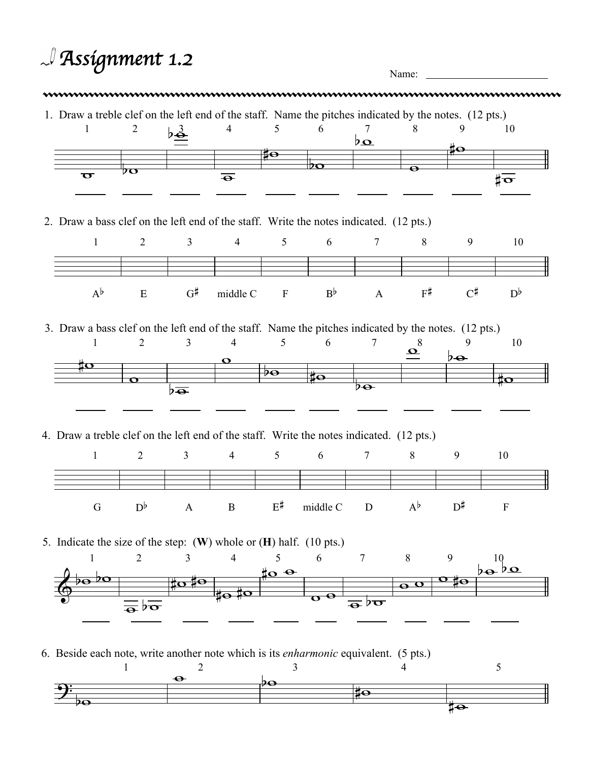| $\mathcal{A}$ Assignment 1.2<br>Name: |                                                                                                                      |                                        |                           |                                     |                     |                         |                                                           |                            |                                 |                           |
|---------------------------------------|----------------------------------------------------------------------------------------------------------------------|----------------------------------------|---------------------------|-------------------------------------|---------------------|-------------------------|-----------------------------------------------------------|----------------------------|---------------------------------|---------------------------|
|                                       | 1. Draw a treble clef on the left end of the staff. Name the pitches indicated by the notes. (12 pts.)<br>1          | $\overline{2}$                         | $b\frac{3}{2}$            | $\overline{4}$                      | 5                   | 6                       | 7<br>$b_{\mathbf{Q}}$                                     | 8                          | 9                               | 10                        |
|                                       |                                                                                                                      |                                        |                           |                                     | ‡о                  |                         |                                                           |                            | ,‡ө                             |                           |
|                                       | $\overline{\mathbf{C}}$                                                                                              | $\overline{\mathcal{P}}$ O             |                           | $\overline{\bullet}$                |                     | DO                      |                                                           | $\bullet$                  |                                 | ‡ $\overline{\mathbf{v}}$ |
|                                       | 2. Draw a bass clef on the left end of the staff. Write the notes indicated. (12 pts.)                               |                                        |                           |                                     |                     |                         |                                                           |                            |                                 |                           |
|                                       | $\mathbf{1}$                                                                                                         | $\overline{2}$                         | $\mathfrak{Z}$            |                                     | $4 \qquad \qquad 5$ | 6                       | $7\phantom{.0}$                                           | 8                          | 9                               | 10                        |
|                                       | $A^{\flat}$                                                                                                          | ${\bf E}$                              | G#                        | middle C                            | F                   | $B^{\flat}$             | $\mathbf{A}$                                              | $F^{\sharp}$               | $C^{\sharp}$                    | $D^{\flat}$               |
|                                       | 3. Draw a bass clef on the left end of the staff. Name the pitches indicated by the notes. (12 pts.)<br>$\mathbf{1}$ | $\overline{2}$                         | $\mathfrak{Z}$            | $\overline{4}$<br>$\mathbf{\Omega}$ | 5 <sup>5</sup>      | 6                       | $\tau$                                                    | 8<br>$\boldsymbol{\Omega}$ | 9<br>$b\rightarrow$             | 10                        |
|                                       | ĮΟ                                                                                                                   |                                        |                           |                                     | $\mathcal{P}$       | $\pm \infty$            |                                                           |                            |                                 | $\sharp \mathbf{o}$       |
|                                       |                                                                                                                      | $\mathbf \sigma$                       | $b\overline{\bullet}$     |                                     |                     |                         | $\overline{p_{\Theta}}$                                   |                            |                                 |                           |
|                                       | 4. Draw a treble clef on the left end of the staff. Write the notes indicated. (12 pts.)                             |                                        |                           |                                     |                     |                         |                                                           |                            |                                 |                           |
|                                       | $\mathbf{1}$                                                                                                         | 2                                      | $\overline{3}$            | $\overline{4}$                      | 5 <sup>5</sup>      | 6                       | $\tau$                                                    | 8                          | 9                               | 10                        |
|                                       | ${\bf G}$                                                                                                            | $D^{\flat}$                            | $\mathbf{A}$              | $\, {\bf B}$                        | $E^{\sharp}$        | middle C                | ${\bf D}$                                                 | $A^{\flat}$                | $\mathbf{D}^{\sharp}$           | $\mathbf F$               |
|                                       | 5. Indicate the size of the step: (W) whole or (H) half. (10 pts.)                                                   |                                        |                           |                                     |                     |                         |                                                           |                            |                                 |                           |
|                                       | 1<br>$\overline{p}$<br>$\lambda\mathbf{\Theta}$                                                                      | $\overline{2}$                         | 3<br>$\sharp$ o ‡ $\circ$ | 4                                   | 5<br>$\frac{40}{9}$ | 6                       | $\overline{7}$                                            | 8                          | 9<br>$\overline{\textbf{o}}$ to | 10<br>$b\mathbf{e}^b$     |
|                                       |                                                                                                                      |                                        |                           | to to                               |                     | $\overline{\mathbf{e}}$ |                                                           | $\overline{\mathbf{e}}$ o  |                                 |                           |
|                                       |                                                                                                                      | $\frac{1}{\sqrt{\sigma}}\sqrt{\sigma}$ |                           |                                     |                     |                         | $\overline{\bullet}^{\,} \mathfrak{b} \overline{\bullet}$ |                            |                                 |                           |
|                                       | 6. Beside each note, write another note which is its <i>enharmonic</i> equivalent. (5 pts.)                          |                                        | $\overline{2}$            |                                     | 3                   |                         |                                                           | 4                          |                                 | 5                         |
|                                       |                                                                                                                      |                                        | $\bullet$                 |                                     | ₽Θ                  |                         | ‡o                                                        |                            |                                 |                           |
|                                       |                                                                                                                      |                                        |                           |                                     |                     |                         |                                                           |                            |                                 |                           |

 $\frac{1}{4}$ 

 $\frac{1}{4}$ 

₿

 $\overline{p_{\mathbf{O}}}$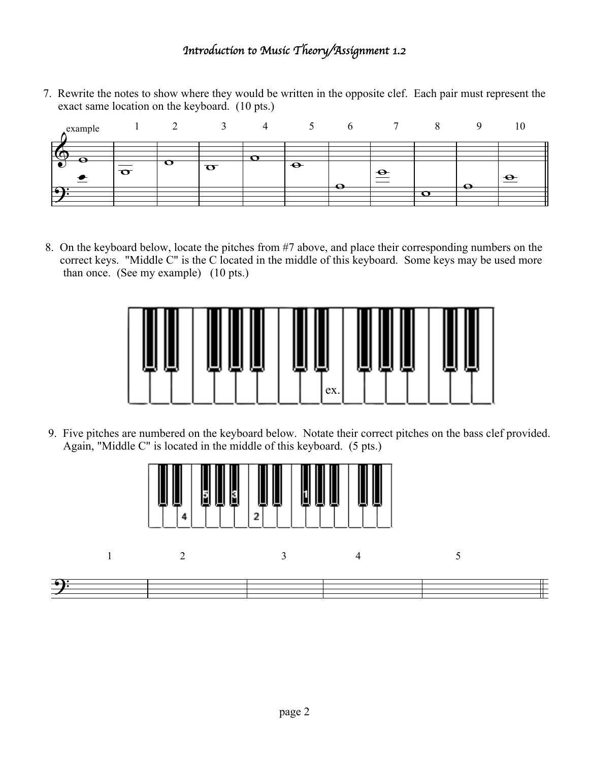## *Introduction to Music Theory/Assignment 1.2*

7. Rewrite the notes to show where they would be written in the opposite clef. Each pair must represent the exact same location on the keyboard. (10 pts.)

| example                    |   |   |                       |               |   |             |                          | 10        |
|----------------------------|---|---|-----------------------|---------------|---|-------------|--------------------------|-----------|
| −<br>$\boldsymbol{\Theta}$ |   |   |                       |               |   |             |                          |           |
|                            | ੌ | Ő | $\boldsymbol{\sigma}$ | $\rightarrow$ |   | $\triangle$ |                          | $\bullet$ |
| $\sqrt{2}$                 |   |   |                       |               | e |             | $\overline{\phantom{a}}$ |           |
|                            |   |   |                       |               |   |             |                          |           |

8. On the keyboard below, locate the pitches from #7 above, and place their corresponding numbers on the correct keys. "Middle C" is the C located in the middle of this keyboard. Some keys may be used more than once. (See my example) (10 pts.)



9. Five pitches are numbered on the keyboard below. Notate their correct pitches on the bass clef provided. Again, "Middle C" is located in the middle of this keyboard. (5 pts.)